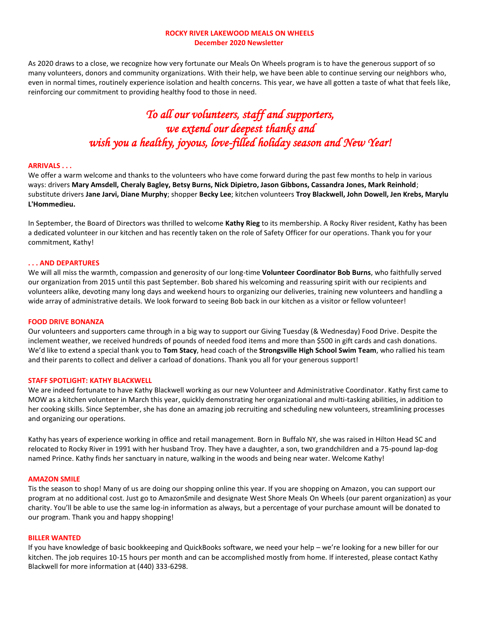# **ROCKY RIVER LAKEWOOD MEALS ON WHEELS December 2020 Newsletter**

As 2020 draws to a close, we recognize how very fortunate our Meals On Wheels program is to have the generous support of so many volunteers, donors and community organizations. With their help, we have been able to continue serving our neighbors who, even in normal times, routinely experience isolation and health concerns. This year, we have all gotten a taste of what that feels like, reinforcing our commitment to providing healthy food to those in need.

> *To all our volunteers, staff and supporters, we extend our deepest thanks and wish you a healthy, joyous, love-filled holiday season and New Year!*

# **ARRIVALS . . .**

We offer a warm welcome and thanks to the volunteers who have come forward during the past few months to help in various ways: drivers **Mary Amsdell, Cheraly Bagley, Betsy Burns, Nick Dipietro, Jason Gibbons, Cassandra Jones, Mark Reinhold**; substitute drivers **Jane Jarvi, Diane Murphy**; shopper **Becky Lee**; kitchen volunteers **Troy Blackwell, John Dowell, Jen Krebs, Marylu L'Hommedieu.** 

In September, the Board of Directors was thrilled to welcome **Kathy Rieg** to its membership. A Rocky River resident, Kathy has been a dedicated volunteer in our kitchen and has recently taken on the role of Safety Officer for our operations. Thank you for your commitment, Kathy!

## **. . . AND DEPARTURES**

We will all miss the warmth, compassion and generosity of our long-time **Volunteer Coordinator Bob Burns**, who faithfully served our organization from 2015 until this past September. Bob shared his welcoming and reassuring spirit with our recipients and volunteers alike, devoting many long days and weekend hours to organizing our deliveries, training new volunteers and handling a wide array of administrative details. We look forward to seeing Bob back in our kitchen as a visitor or fellow volunteer!

#### **FOOD DRIVE BONANZA**

Our volunteers and supporters came through in a big way to support our Giving Tuesday (& Wednesday) Food Drive. Despite the inclement weather, we received hundreds of pounds of needed food items and more than \$500 in gift cards and cash donations. We'd like to extend a special thank you to **Tom Stacy**, head coach of the **Strongsville High School Swim Team**, who rallied his team and their parents to collect and deliver a carload of donations. Thank you all for your generous support!

#### **STAFF SPOTLIGHT: KATHY BLACKWELL**

We are indeed fortunate to have Kathy Blackwell working as our new Volunteer and Administrative Coordinator. Kathy first came to MOW as a kitchen volunteer in March this year, quickly demonstrating her organizational and multi-tasking abilities, in addition to her cooking skills. Since September, she has done an amazing job recruiting and scheduling new volunteers, streamlining processes and organizing our operations.

Kathy has years of experience working in office and retail management. Born in Buffalo NY, she was raised in Hilton Head SC and relocated to Rocky River in 1991 with her husband Troy. They have a daughter, a son, two grandchildren and a 75-pound lap-dog named Prince. Kathy finds her sanctuary in nature, walking in the woods and being near water. Welcome Kathy!

#### **AMAZON SMILE**

Tis the season to shop! Many of us are doing our shopping online this year. If you are shopping on Amazon, you can support our program at no additional cost. Just go to AmazonSmile and designate West Shore Meals On Wheels (our parent organization) as your charity. You'll be able to use the same log-in information as always, but a percentage of your purchase amount will be donated to our program. Thank you and happy shopping!

#### **BILLER WANTED**

If you have knowledge of basic bookkeeping and QuickBooks software, we need your help – we're looking for a new biller for our kitchen. The job requires 10-15 hours per month and can be accomplished mostly from home. If interested, please contact Kathy Blackwell for more information at (440) 333-6298.